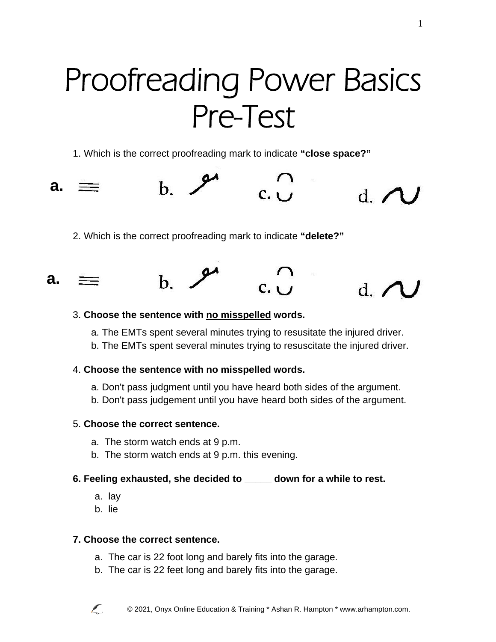# Proofreading Power Basics Pre-Test

1. Which is the correct proofreading mark to indicate **"close space?"** 



2. Which is the correct proofreading mark to indicate **"delete?"** 



#### 3. **Choose the sentence with no misspelled words.**

- a. The EMTs spent several minutes trying to resusitate the injured driver.
- b. The EMTs spent several minutes trying to resuscitate the injured driver.

### 4. **Choose the sentence with no misspelled words.**

- a. Don't pass judgment until you have heard both sides of the argument.
- b. Don't pass judgement until you have heard both sides of the argument.

## 5. **Choose the correct sentence.**

- a. The storm watch ends at 9 p.m.
- b. The storm watch ends at 9 p.m. this evening.

## **6. Feeling exhausted, she decided to \_\_\_\_\_ down for a while to rest.**

- a. lay
- b. lie

## **7. Choose the correct sentence.**

- a. The car is 22 foot long and barely fits into the garage.
- b. The car is 22 feet long and barely fits into the garage.

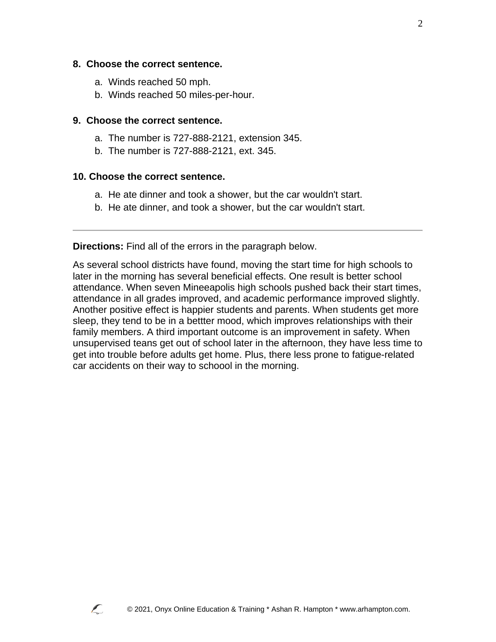#### **8. Choose the correct sentence.**

- a. Winds reached 50 mph.
- b. Winds reached 50 miles-per-hour.

#### **9. Choose the correct sentence.**

- a. The number is 727-888-2121, extension 345.
- b. The number is 727-888-2121, ext. 345.

#### **10. Choose the correct sentence.**

- a. He ate dinner and took a shower, but the car wouldn't start.
- b. He ate dinner, and took a shower, but the car wouldn't start.

**Directions:** Find all of the errors in the paragraph below.

As several school districts have found, moving the start time for high schools to later in the morning has several beneficial effects. One result is better school attendance. When seven Mineeapolis high schools pushed back their start times, attendance in all grades improved, and academic performance improved slightly. Another positive effect is happier students and parents. When students get more sleep, they tend to be in a bettter mood, which improves relationships with their family members. A third important outcome is an improvement in safety. When unsupervised teans get out of school later in the afternoon, they have less time to get into trouble before adults get home. Plus, there less prone to fatigue-related car accidents on their way to schoool in the morning.

2